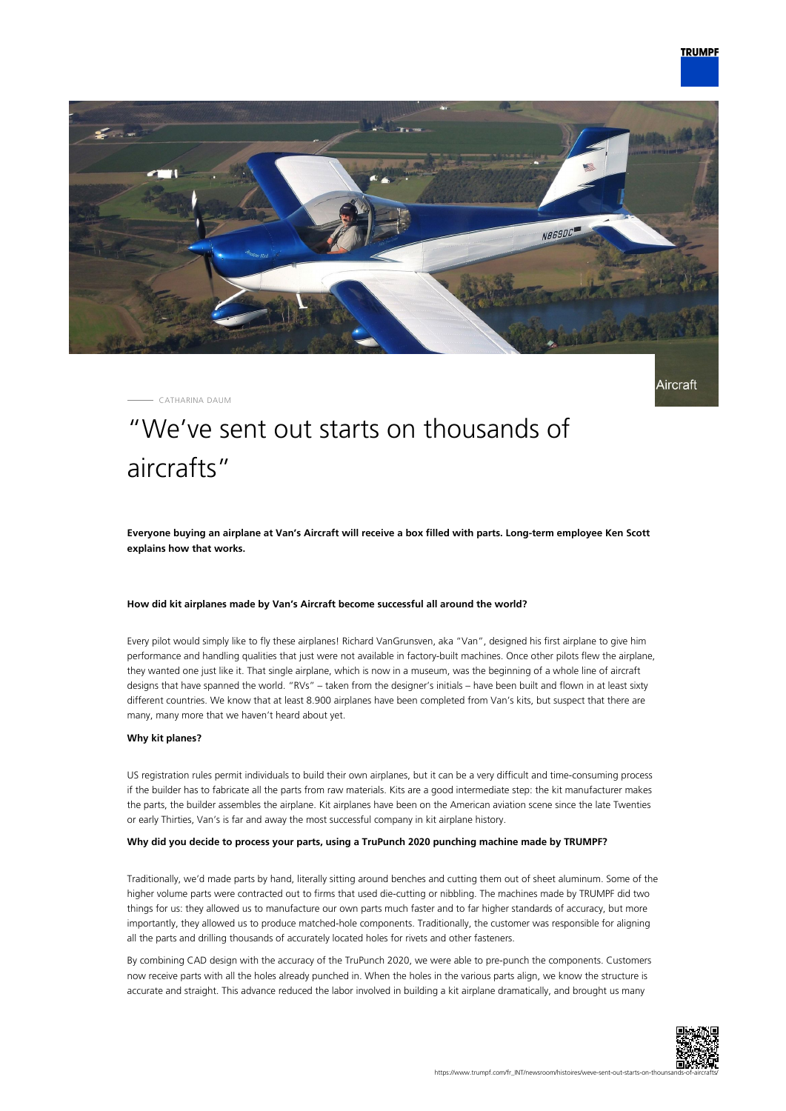

Aircraft



CATHARINA DAUM

# "We've sent out starts on thousands of aircrafts"

**Everyone buying an airplane at Van's Aircraft will receive a box filled with parts. Long-term employee Ken Scott explains how that works.**

## **How did kit airplanes made by Van's Aircraft become successful all around the world?**

Every pilot would simply like to fly these airplanes! Richard VanGrunsven, aka "Van", designed his first airplane to give him performance and handling qualities that just were not available in factory-built machines. Once other pilots flew the airplane, they wanted one just like it. That single airplane, which is now in a museum, was the beginning of a whole line of aircraft designs that have spanned the world. "RVs" – taken from the designer's initials – have been built and flown in at least sixty different countries. We know that at least 8.900 airplanes have been completed from Van's kits, but suspect that there are many, many more that we haven't heard about yet.

#### **Why kit planes?**

US registration rules permit individuals to build their own airplanes, but it can be a very difficult and time-consuming process if the builder has to fabricate all the parts from raw materials. Kits are a good intermediate step: the kit manufacturer makes the parts, the builder assembles the airplane. Kit airplanes have been on the American aviation scene since the late Twenties or early Thirties, Van's is far and away the most successful company in kit airplane history.

## **Why did you decide to process your parts, using a TruPunch 2020 punching machine made by TRUMPF?**

Traditionally, we'd made parts by hand, literally sitting around benches and cutting them out of sheet aluminum. Some of the higher volume parts were contracted out to firms that used die-cutting or nibbling. The machines made by TRUMPF did two things for us: they allowed us to manufacture our own parts much faster and to far higher standards of accuracy, but more importantly, they allowed us to produce matched-hole components. Traditionally, the customer was responsible for aligning all the parts and drilling thousands of accurately located holes for rivets and other fasteners.

By combining CAD design with the accuracy of the TruPunch 2020, we were able to pre-punch the components. Customers now receive parts with all the holes already punched in. When the holes in the various parts align, we know the structure is accurate and straight. This advance reduced the labor involved in building a kit airplane dramatically, and brought us many